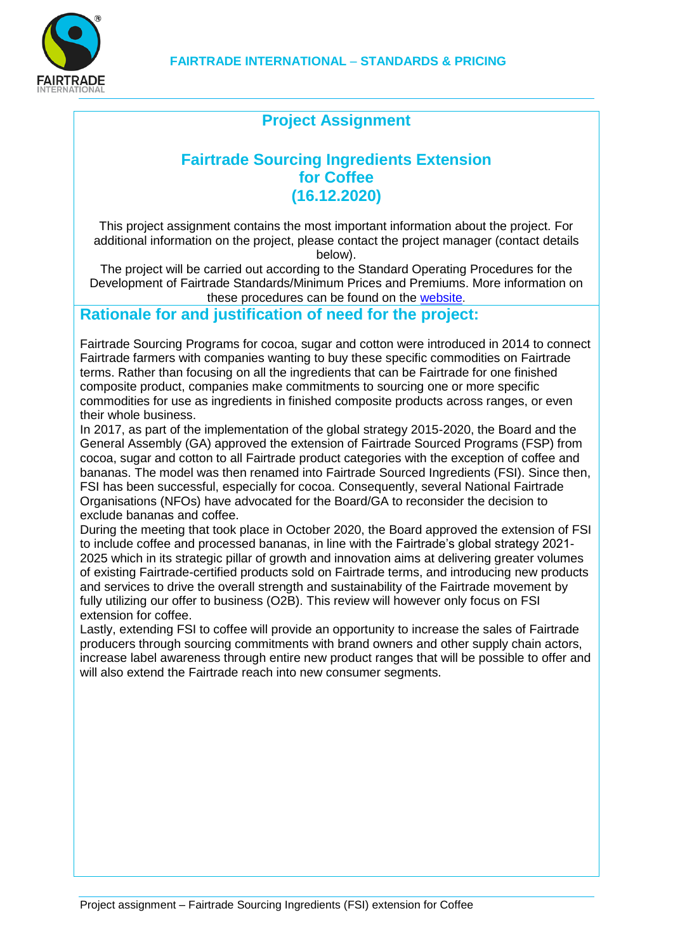

# **Project Assignment**

# **Fairtrade Sourcing Ingredients Extension for Coffee (16.12.2020)**

This project assignment contains the most important information about the project. For additional information on the project, please contact the project manager (contact details below).

The project will be carried out according to the Standard Operating Procedures for the Development of Fairtrade Standards/Minimum Prices and Premiums. More information on these procedures can be found on the [website](http://www.fairtrade.net/standards/setting-the-standards.html).

## **Rationale for and justification of need for the project:**

Fairtrade Sourcing Programs for cocoa, sugar and cotton were introduced in 2014 to connect Fairtrade farmers with companies wanting to buy these specific commodities on Fairtrade terms. Rather than focusing on all the ingredients that can be Fairtrade for one finished composite product, companies make commitments to sourcing one or more specific commodities for use as ingredients in finished composite products across ranges, or even their whole business.

In 2017, as part of the implementation of the global strategy 2015-2020, the Board and the General Assembly (GA) approved the extension of Fairtrade Sourced Programs (FSP) from cocoa, sugar and cotton to all Fairtrade product categories with the exception of coffee and bananas. The model was then renamed into Fairtrade Sourced Ingredients (FSI). Since then, FSI has been successful, especially for cocoa. Consequently, several National Fairtrade Organisations (NFOs) have advocated for the Board/GA to reconsider the decision to exclude bananas and coffee.

During the meeting that took place in October 2020, the Board approved the extension of FSI to include coffee and processed bananas, in line with the Fairtrade's global strategy 2021- 2025 which in its strategic pillar of growth and innovation aims at delivering greater volumes of existing Fairtrade-certified products sold on Fairtrade terms, and introducing new products and services to drive the overall strength and sustainability of the Fairtrade movement by fully utilizing our offer to business (O2B). This review will however only focus on FSI extension for coffee.

Lastly, extending FSI to coffee will provide an opportunity to increase the sales of Fairtrade producers through sourcing commitments with brand owners and other supply chain actors, increase label awareness through entire new product ranges that will be possible to offer and will also extend the Fairtrade reach into new consumer segments.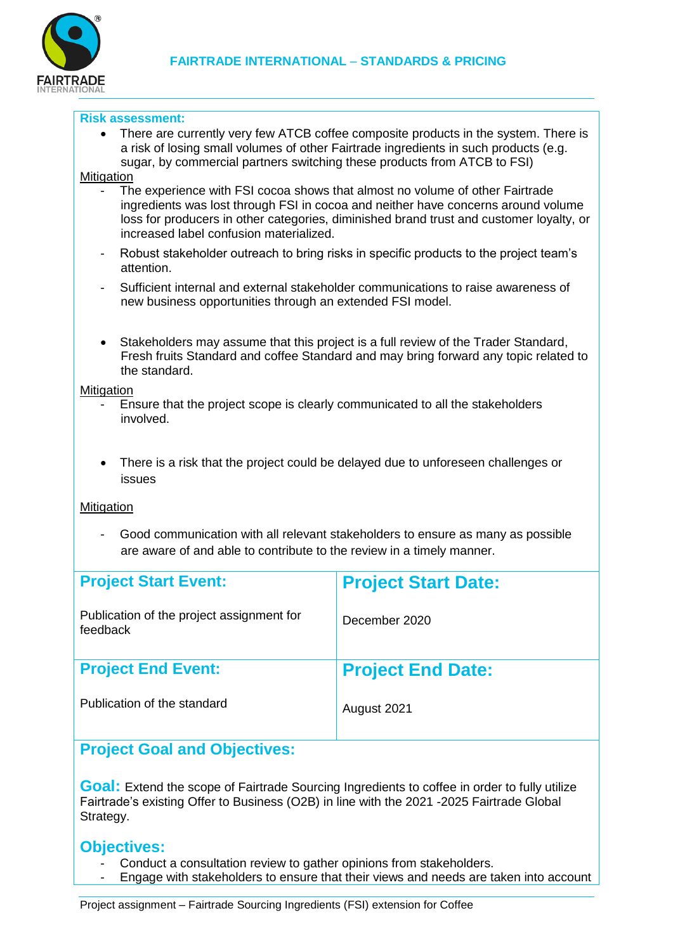

#### **Risk assessment:**

 There are currently very few ATCB coffee composite products in the system. There is a risk of losing small volumes of other Fairtrade ingredients in such products (e.g. sugar, by commercial partners switching these products from ATCB to FSI)

#### Mitigation

- The experience with FSI cocoa shows that almost no volume of other Fairtrade ingredients was lost through FSI in cocoa and neither have concerns around volume loss for producers in other categories, diminished brand trust and customer loyalty, or increased label confusion materialized.
- Robust stakeholder outreach to bring risks in specific products to the project team's attention.
- Sufficient internal and external stakeholder communications to raise awareness of new business opportunities through an extended FSI model.
- Stakeholders may assume that this project is a full review of the Trader Standard, Fresh fruits Standard and coffee Standard and may bring forward any topic related to the standard.

#### **Mitigation**

- Ensure that the project scope is clearly communicated to all the stakeholders involved.
- There is a risk that the project could be delayed due to unforeseen challenges or issues

#### **Mitigation**

- Good communication with all relevant stakeholders to ensure as many as possible are aware of and able to contribute to the review in a timely manner.

| <b>Project Start Event:</b>                           | <b>Project Start Date:</b> |
|-------------------------------------------------------|----------------------------|
| Publication of the project assignment for<br>feedback | December 2020              |
| <b>Project End Event:</b>                             | <b>Project End Date:</b>   |
| Publication of the standard                           | August 2021                |

## **Project Goal and Objectives:**

**Goal:** Extend the scope of Fairtrade Sourcing Ingredients to coffee in order to fully utilize Fairtrade's existing Offer to Business (O2B) in line with the 2021 -2025 Fairtrade Global Strategy.

### **Objectives:**

- Conduct a consultation review to gather opinions from stakeholders.
- Engage with stakeholders to ensure that their views and needs are taken into account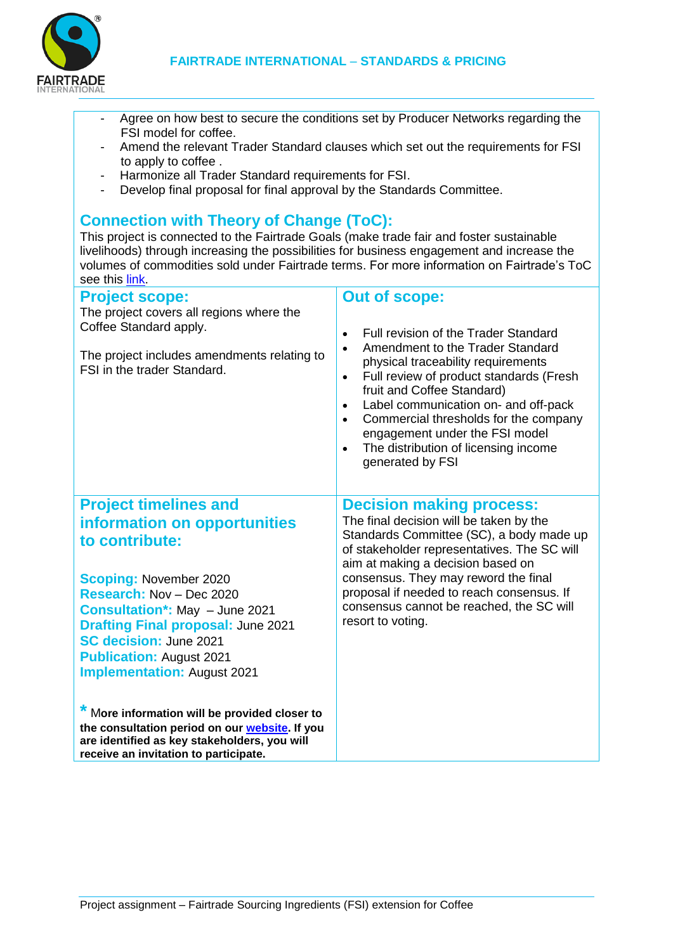

- Agree on how best to secure the conditions set by Producer Networks regarding the FSI model for coffee.
- Amend the relevant Trader Standard clauses which set out the requirements for FSI to apply to coffee .
- Harmonize all Trader Standard requirements for FSI.
- Develop final proposal for final approval by the Standards Committee.

## **Connection with Theory of Change (ToC):**

This project is connected to the Fairtrade Goals (make trade fair and foster sustainable livelihoods) through increasing the possibilities for business engagement and increase the volumes of commodities sold under Fairtrade terms. For more information on Fairtrade's ToC see this [link.](https://www.fairtrade.net/impact/our-theory-of-change)

| <b>Project scope:</b><br>The project covers all regions where the<br>Coffee Standard apply.<br>The project includes amendments relating to<br>FSI in the trader Standard.                                                                                                                                                                                                                                                                                                                                                               | <b>Out of scope:</b><br>Full revision of the Trader Standard<br>Amendment to the Trader Standard<br>physical traceability requirements<br>Full review of product standards (Fresh<br>$\bullet$<br>fruit and Coffee Standard)<br>Label communication on- and off-pack<br>Commercial thresholds for the company<br>engagement under the FSI model<br>The distribution of licensing income<br>generated by FSI |
|-----------------------------------------------------------------------------------------------------------------------------------------------------------------------------------------------------------------------------------------------------------------------------------------------------------------------------------------------------------------------------------------------------------------------------------------------------------------------------------------------------------------------------------------|-------------------------------------------------------------------------------------------------------------------------------------------------------------------------------------------------------------------------------------------------------------------------------------------------------------------------------------------------------------------------------------------------------------|
| <b>Project timelines and</b><br>information on opportunities<br>to contribute:<br><b>Scoping: November 2020</b><br>Research: Nov - Dec 2020<br><b>Consultation*: May - June 2021</b><br><b>Drafting Final proposal: June 2021</b><br><b>SC decision: June 2021</b><br><b>Publication: August 2021</b><br><b>Implementation: August 2021</b><br>* More information will be provided closer to<br>the consultation period on our website. If you<br>are identified as key stakeholders, you will<br>receive an invitation to participate. | <b>Decision making process:</b><br>The final decision will be taken by the<br>Standards Committee (SC), a body made up<br>of stakeholder representatives. The SC will<br>aim at making a decision based on<br>consensus. They may reword the final<br>proposal if needed to reach consensus. If<br>consensus cannot be reached, the SC will<br>resort to voting.                                            |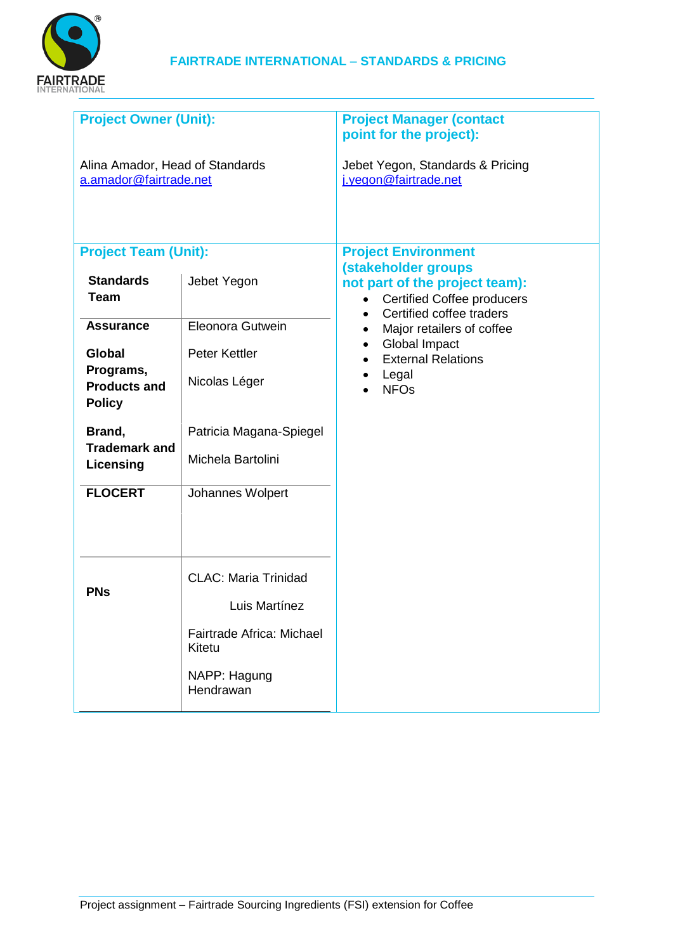

| <b>Project Owner (Unit):</b>                                                                                     | <b>Project Manager (contact</b><br>point for the project):                                                                          |
|------------------------------------------------------------------------------------------------------------------|-------------------------------------------------------------------------------------------------------------------------------------|
| Alina Amador, Head of Standards                                                                                  | Jebet Yegon, Standards & Pricing<br>j.yegon@fairtrade.net                                                                           |
|                                                                                                                  | <b>Project Environment</b>                                                                                                          |
| Jebet Yegon                                                                                                      | (stakeholder groups<br>not part of the project team):<br><b>Certified Coffee producers</b><br>Certified coffee traders<br>$\bullet$ |
| Eleonora Gutwein<br>Peter Kettler<br>Nicolas Léger<br>Patricia Magana-Spiegel<br>Michela Bartolini               | Major retailers of coffee<br>Global Impact<br><b>External Relations</b><br>Legal<br><b>NFO<sub>s</sub></b>                          |
| Johannes Wolpert                                                                                                 |                                                                                                                                     |
| <b>CLAC: Maria Trinidad</b><br>Luis Martínez<br>Fairtrade Africa: Michael<br>Kitetu<br>NAPP: Hagung<br>Hendrawan |                                                                                                                                     |
|                                                                                                                  |                                                                                                                                     |